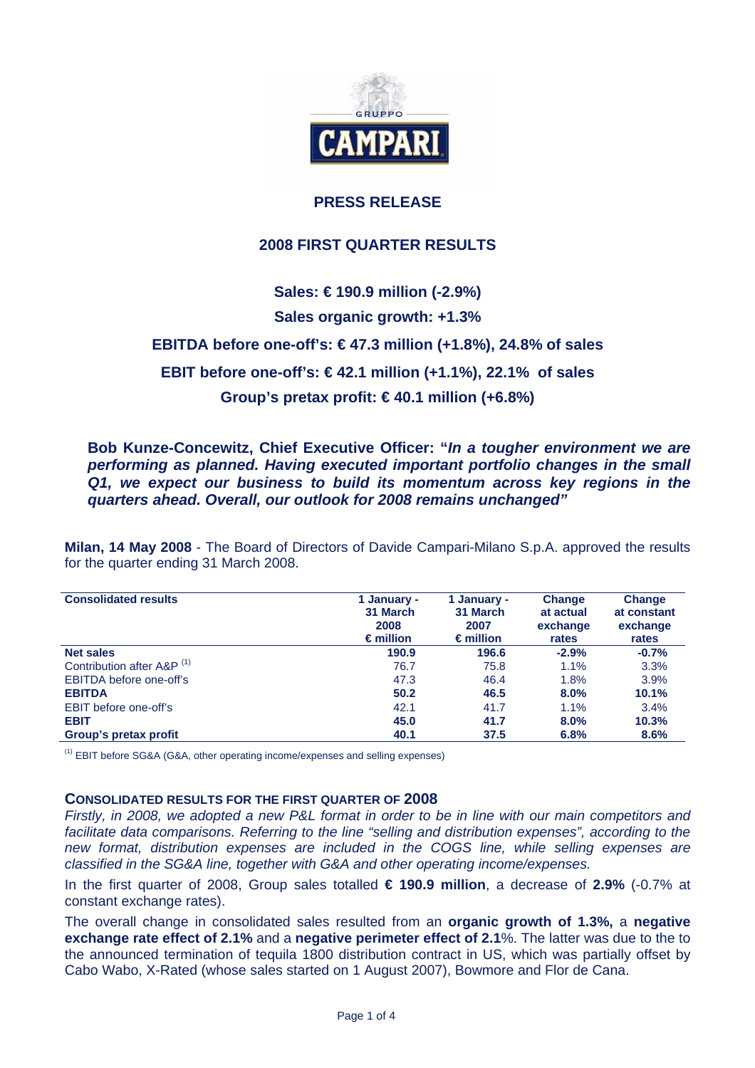

## **PRESS RELEASE**

## **2008 FIRST QUARTER RESULTS**

# **Sales: € 190.9 million (-2.9%) Sales organic growth: +1.3% EBITDA before one-off's: € 47.3 million (+1.8%), 24.8% of sales EBIT before one-off's: € 42.1 million (+1.1%), 22.1% of sales Group's pretax profit: € 40.1 million (+6.8%)**

**Bob Kunze-Concewitz, Chief Executive Officer: "***In a tougher environment we are performing as planned. Having executed important portfolio changes in the small Q1, we expect our business to build its momentum across key regions in the quarters ahead. Overall, our outlook for 2008 remains unchanged"* 

**Milan, 14 May 2008** - The Board of Directors of Davide Campari-Milano S.p.A. approved the results for the quarter ending 31 March 2008.

| <b>Consolidated results</b>           | 1 January -<br>31 March<br>2008<br>$\epsilon$ million | 1 January -<br>31 March<br>2007<br>$\epsilon$ million | <b>Change</b><br>at actual<br>exchange<br>rates | <b>Change</b><br>at constant<br>exchange<br>rates |
|---------------------------------------|-------------------------------------------------------|-------------------------------------------------------|-------------------------------------------------|---------------------------------------------------|
| <b>Net sales</b>                      | 190.9                                                 | 196.6                                                 | $-2.9%$                                         | $-0.7%$                                           |
| Contribution after A&P <sup>(1)</sup> | 76.7                                                  | 75.8                                                  | 1.1%                                            | 3.3%                                              |
| EBITDA before one-off's               | 47.3                                                  | 46.4                                                  | 1.8%                                            | 3.9%                                              |
| <b>EBITDA</b>                         | 50.2                                                  | 46.5                                                  | 8.0%                                            | 10.1%                                             |
| EBIT before one-off's                 | 42.1                                                  | 41.7                                                  | $1.1\%$                                         | 3.4%                                              |
| <b>EBIT</b>                           | 45.0                                                  | 41.7                                                  | 8.0%                                            | 10.3%                                             |
| Group's pretax profit                 | 40.1                                                  | 37.5                                                  | 6.8%                                            | 8.6%                                              |

(1) EBIT before SG&A (G&A, other operating income/expenses and selling expenses)

#### **CONSOLIDATED RESULTS FOR THE FIRST QUARTER OF 2008**

*Firstly, in 2008, we adopted a new P&L format in order to be in line with our main competitors and*  facilitate data comparisons. Referring to the line "selling and distribution expenses", according to the *new format, distribution expenses are included in the COGS line, while selling expenses are classified in the SG&A line, together with G&A and other operating income/expenses.* 

In the first quarter of 2008, Group sales totalled **€ 190.9 million**, a decrease of **2.9%** (-0.7% at constant exchange rates).

The overall change in consolidated sales resulted from an **organic growth of 1.3%,** a **negative exchange rate effect of 2.1%** and a **negative perimeter effect of 2.1**%. The latter was due to the to the announced termination of tequila 1800 distribution contract in US, which was partially offset by Cabo Wabo, X-Rated (whose sales started on 1 August 2007), Bowmore and Flor de Cana.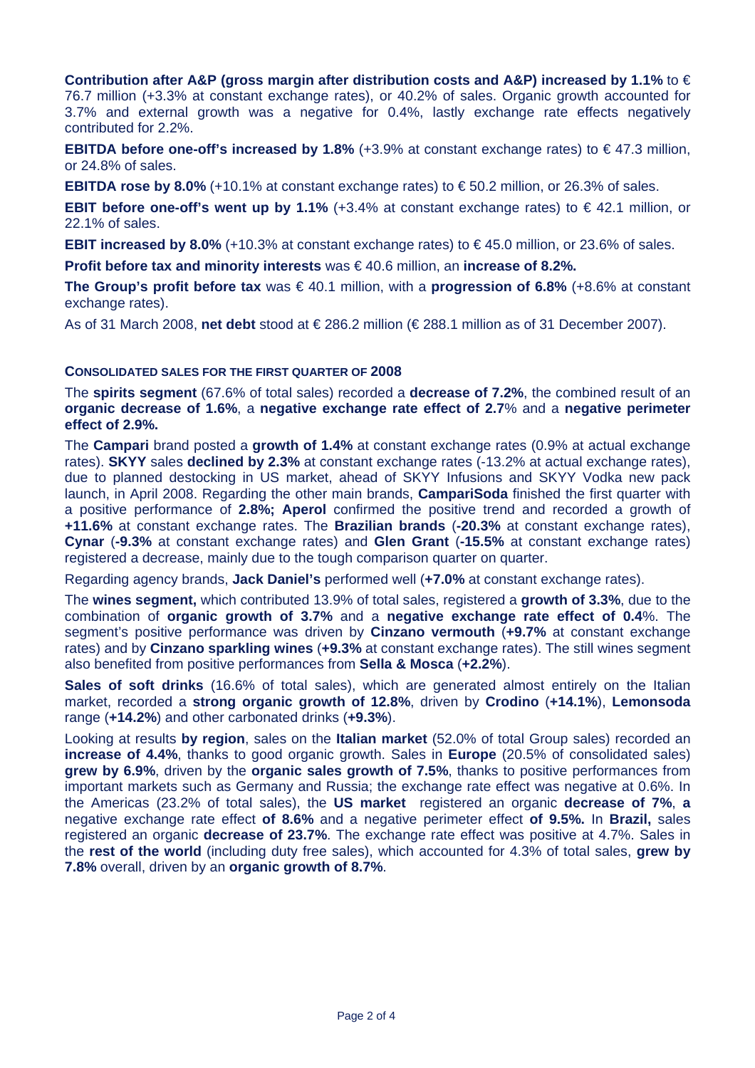**Contribution after A&P (gross margin after distribution costs and A&P) increased by 1.1%** to € 76.7 million (+3.3% at constant exchange rates), or 40.2% of sales. Organic growth accounted for 3.7% and external growth was a negative for 0.4%, lastly exchange rate effects negatively contributed for 2.2%.

**EBITDA before one-off's increased by 1.8%**  $(+3.9%$  at constant exchange rates) to €47.3 million, or 24.8% of sales.

**EBITDA rose by 8.0%** (+10.1% at constant exchange rates) to € 50.2 million, or 26.3% of sales.

**EBIT before one-off's went up by 1.1%** (+3.4% at constant exchange rates) to € 42.1 million, or 22.1% of sales.

**EBIT increased by 8.0%** (+10.3% at constant exchange rates) to € 45.0 million, or 23.6% of sales.

**Profit before tax and minority interests** was € 40.6 million, an **increase of 8.2%.**

**The Group's profit before tax** was € 40.1 million, with a **progression of 6.8%** (+8.6% at constant exchange rates).

As of 31 March 2008, **net debt** stood at € 286.2 million (€ 288.1 million as of 31 December 2007).

### **CONSOLIDATED SALES FOR THE FIRST QUARTER OF 2008**

The **spirits segment** (67.6% of total sales) recorded a **decrease of 7.2%**, the combined result of an **organic decrease of 1.6%**, a **negative exchange rate effect of 2.7**% and a **negative perimeter effect of 2.9%.** 

The **Campari** brand posted a **growth of 1.4%** at constant exchange rates (0.9% at actual exchange rates). **SKYY** sales **declined by 2.3%** at constant exchange rates (-13.2% at actual exchange rates), due to planned destocking in US market, ahead of SKYY Infusions and SKYY Vodka new pack launch, in April 2008. Regarding the other main brands, **CampariSoda** finished the first quarter with a positive performance of **2.8%; Aperol** confirmed the positive trend and recorded a growth of **+11.6%** at constant exchange rates. The **Brazilian brands** (**-20.3%** at constant exchange rates), **Cynar** (**-9.3%** at constant exchange rates) and **Glen Grant** (**-15.5%** at constant exchange rates) registered a decrease, mainly due to the tough comparison quarter on quarter.

Regarding agency brands, **Jack Daniel's** performed well (**+7.0%** at constant exchange rates).

The **wines segment,** which contributed 13.9% of total sales, registered a **growth of 3.3%**, due to the combination of **organic growth of 3.7%** and a **negative exchange rate effect of 0.4**%. The segment's positive performance was driven by **Cinzano vermouth** (**+9.7%** at constant exchange rates) and by **Cinzano sparkling wines** (**+9.3%** at constant exchange rates). The still wines segment also benefited from positive performances from **Sella & Mosca** (**+2.2%**).

Sales of soft drinks (16.6% of total sales), which are generated almost entirely on the Italian market, recorded a **strong organic growth of 12.8%**, driven by **Crodino** (**+14.1%**), **Lemonsoda**  range (**+14.2%**) and other carbonated drinks (**+9.3%**).

Looking at results **by region**, sales on the **Italian market** (52.0% of total Group sales) recorded an **increase of 4.4%**, thanks to good organic growth. Sales in **Europe** (20.5% of consolidated sales) **grew by 6.9%**, driven by the **organic sales growth of 7.5%**, thanks to positive performances from important markets such as Germany and Russia; the exchange rate effect was negative at 0.6%. In the Americas (23.2% of total sales), the **US market** registered an organic **decrease of 7%**, **a**  negative exchange rate effect **of 8.6%** and a negative perimeter effect **of 9.5%.** In **Brazil,** sales registered an organic **decrease of 23.7%**. The exchange rate effect was positive at 4.7%. Sales in the **rest of the world** (including duty free sales), which accounted for 4.3% of total sales, **grew by 7.8%** overall, driven by an **organic growth of 8.7%**.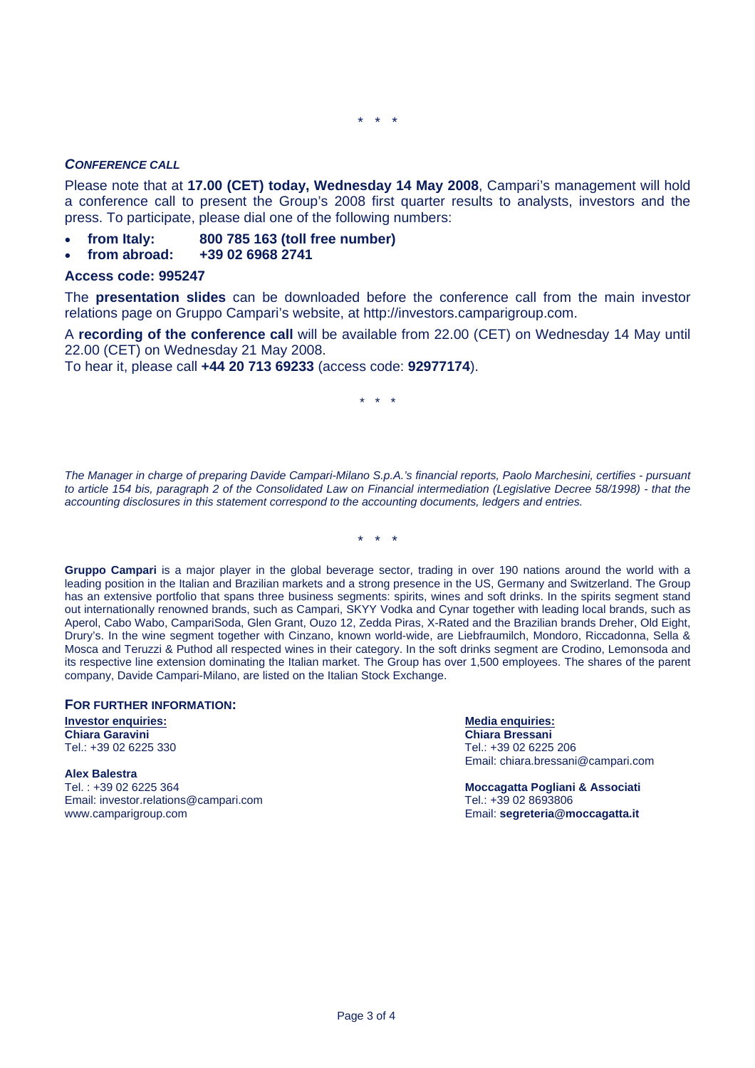\* \* \*

#### *CONFERENCE CALL*

Please note that at **17.00 (CET) today, Wednesday 14 May 2008**, Campari's management will hold a conference call to present the Group's 2008 first quarter results to analysts, investors and the press. To participate, please dial one of the following numbers:

- **from Italy: 800 785 163 (toll free number)**
- **from abroad: +39 02 6968 2741**

#### **Access code: 995247**

The **presentation slides** can be downloaded before the conference call from the main investor relations page on Gruppo Campari's website, at http://investors.camparigroup.com.

A **recording of the conference call** will be available from 22.00 (CET) on Wednesday 14 May until 22.00 (CET) on Wednesday 21 May 2008.

To hear it, please call **+44 20 713 69233** (access code: **92977174**).

\* \* \*

*The Manager in charge of preparing Davide Campari-Milano S.p.A.'s financial reports, Paolo Marchesini, certifies - pursuant to article 154 bis, paragraph 2 of the Consolidated Law on Financial intermediation (Legislative Decree 58/1998) - that the accounting disclosures in this statement correspond to the accounting documents, ledgers and entries.* 

\* \* \*

**Gruppo Campari** is a major player in the global beverage sector, trading in over 190 nations around the world with a leading position in the Italian and Brazilian markets and a strong presence in the US, Germany and Switzerland. The Group has an extensive portfolio that spans three business segments: spirits, wines and soft drinks. In the spirits segment stand out internationally renowned brands, such as Campari, SKYY Vodka and Cynar together with leading local brands, such as Aperol, Cabo Wabo, CampariSoda, Glen Grant, Ouzo 12, Zedda Piras, X-Rated and the Brazilian brands Dreher, Old Eight, Drury's. In the wine segment together with Cinzano, known world-wide, are Liebfraumilch, Mondoro, Riccadonna, Sella & Mosca and Teruzzi & Puthod all respected wines in their category. In the soft drinks segment are Crodino, Lemonsoda and its respective line extension dominating the Italian market. The Group has over 1,500 employees. The shares of the parent company, Davide Campari-Milano, are listed on the Italian Stock Exchange.

#### **FOR FURTHER INFORMATION:**

**Investor enquiries:**<br> **Investor enquiries:**<br> **Chiara Garavini**<br> **Chiara Bressani** Tel.: +39 02 6225 330 Tel.: +39 02 6225 206

**Alex Balestra**  Tel. : +39 02 6225 364 **Moccagatta Pogliani & Associati**  Email: investor.relations@campari.com Tel.: +39 02 8693806 www.camparigroup.com Email: **segreteria@moccagatta.it**

**Chiara Bressani** Email: chiara.bressani@campari.com